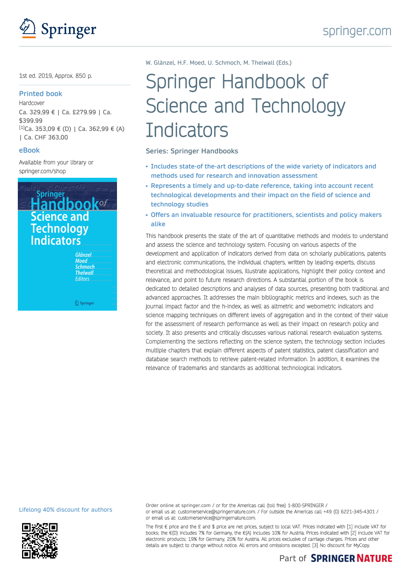

# 1st ed. 2019, Approx. 850 p.

#### **Printed book**

**Hardcover** Ca. 329,99 € | Ca. £279.99 | Ca. \$399.99  $[1]$ Ca. 353,09 € (D) | Ca. 362,99 € (A) | Ca. CHF 363,00

# **eBook**

Available from your library or [springer.com/shop](https://www.springer.com/shop)



<u>©</u> Springer

W. Glänzel, H.F. Moed, U. Schmoch, M. Thelwall (Eds.)

# Springer Handbook of Science and Technology **Indicators**

**Series: Springer Handbooks**

- **Includes state-of the-art descriptions of the wide variety of indicators and methods used for research and innovation assessment**
- **Represents a timely and up-to-date reference, taking into account recent technological developments and their impact on the field of science and technology studies**
- **Offers an invaluable resource for practitioners, scientists and policy makers alike**

This handbook presents the state of the art of quantitative methods and models to understand and assess the science and technology system. Focusing on various aspects of the development and application of indicators derived from data on scholarly publications, patents and electronic communications, the individual chapters, written by leading experts, discuss theoretical and methodological issues, illustrate applications, highlight their policy context and relevance, and point to future research directions. A substantial portion of the book is dedicated to detailed descriptions and analyses of data sources, presenting both traditional and advanced approaches. It addresses the main bibliographic metrics and indexes, such as the journal impact factor and the h-index, as well as altmetric and webometric indicators and science mapping techniques on different levels of aggregation and in the context of their value for the assessment of research performance as well as their impact on research policy and society. It also presents and critically discusses various national research evaluation systems. Complementing the sections reflecting on the science system, the technology section includes multiple chapters that explain different aspects of patent statistics, patent classification and database search methods to retrieve patent-related information. In addition, it examines the relevance of trademarks and standards as additional technological indicators.

Lifelong 40% discount for authors



Order online at springer.com / or for the Americas call (toll free) 1-800-SPRINGER / or email us at: customerservice@springernature.com. / For outside the Americas call +49 (0) 6221-345-4301 / or email us at: customerservice@springernature.com.

The first € price and the £ and \$ price are net prices, subject to local VAT. Prices indicated with [1] include VAT for books; the €(D) includes 7% for Germany, the €(A) includes 10% for Austria. Prices indicated with [2] include VAT for electronic products; 19% for Germany, 20% for Austria. All prices exclusive of carriage charges. Prices and other details are subject to change without notice. All errors and omissions excepted. [3] No discount for MyCopy.